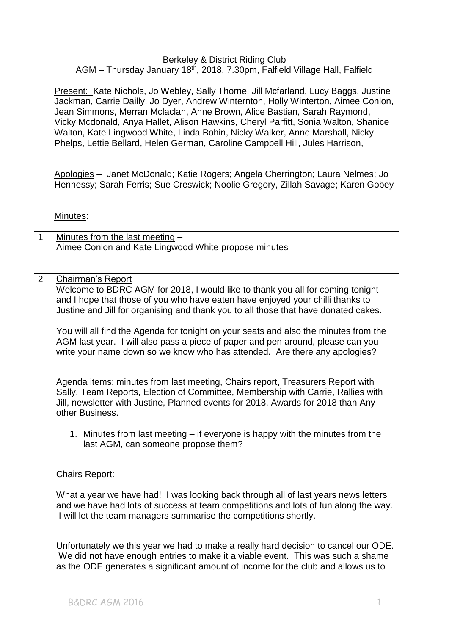### Berkeley & District Riding Club

## AGM – Thursday January 18<sup>th</sup>, 2018, 7.30pm, Falfield Village Hall, Falfield

Present: Kate Nichols, Jo Webley, Sally Thorne, Jill Mcfarland, Lucy Baggs, Justine Jackman, Carrie Dailly, Jo Dyer, Andrew Winternton, Holly Winterton, Aimee Conlon, Jean Simmons, Merran Mclaclan, Anne Brown, Alice Bastian, Sarah Raymond, Vicky Mcdonald, Anya Hallet, Alison Hawkins, Cheryl Parfitt, Sonia Walton, Shanice Walton, Kate Lingwood White, Linda Bohin, Nicky Walker, Anne Marshall, Nicky Phelps, Lettie Bellard, Helen German, Caroline Campbell Hill, Jules Harrison,

Apologies – Janet McDonald; Katie Rogers; Angela Cherrington; Laura Nelmes; Jo Hennessy; Sarah Ferris; Sue Creswick; Noolie Gregory, Zillah Savage; Karen Gobey

#### Minutes:

| $\mathbf{1}$                                                                   | Minutes from the last meeting -                                                                                                                         |  |  |
|--------------------------------------------------------------------------------|---------------------------------------------------------------------------------------------------------------------------------------------------------|--|--|
|                                                                                | Aimee Conlon and Kate Lingwood White propose minutes                                                                                                    |  |  |
|                                                                                |                                                                                                                                                         |  |  |
|                                                                                |                                                                                                                                                         |  |  |
| $\overline{2}$                                                                 | <b>Chairman's Report</b>                                                                                                                                |  |  |
| Welcome to BDRC AGM for 2018, I would like to thank you all for coming tonight |                                                                                                                                                         |  |  |
|                                                                                | and I hope that those of you who have eaten have enjoyed your chilli thanks to                                                                          |  |  |
|                                                                                | Justine and Jill for organising and thank you to all those that have donated cakes.                                                                     |  |  |
|                                                                                |                                                                                                                                                         |  |  |
|                                                                                | You will all find the Agenda for tonight on your seats and also the minutes from the                                                                    |  |  |
|                                                                                | AGM last year. I will also pass a piece of paper and pen around, please can you                                                                         |  |  |
|                                                                                | write your name down so we know who has attended. Are there any apologies?                                                                              |  |  |
|                                                                                |                                                                                                                                                         |  |  |
|                                                                                | Agenda items: minutes from last meeting, Chairs report, Treasurers Report with                                                                          |  |  |
|                                                                                | Sally, Team Reports, Election of Committee, Membership with Carrie, Rallies with                                                                        |  |  |
|                                                                                | Jill, newsletter with Justine, Planned events for 2018, Awards for 2018 than Any                                                                        |  |  |
|                                                                                | other Business.                                                                                                                                         |  |  |
|                                                                                |                                                                                                                                                         |  |  |
|                                                                                | 1. Minutes from last meeting – if everyone is happy with the minutes from the                                                                           |  |  |
|                                                                                | last AGM, can someone propose them?                                                                                                                     |  |  |
|                                                                                |                                                                                                                                                         |  |  |
|                                                                                |                                                                                                                                                         |  |  |
|                                                                                | <b>Chairs Report:</b>                                                                                                                                   |  |  |
|                                                                                |                                                                                                                                                         |  |  |
|                                                                                | What a year we have had! I was looking back through all of last years news letters                                                                      |  |  |
|                                                                                | and we have had lots of success at team competitions and lots of fun along the way.<br>I will let the team managers summarise the competitions shortly. |  |  |
|                                                                                |                                                                                                                                                         |  |  |
|                                                                                |                                                                                                                                                         |  |  |
|                                                                                | Unfortunately we this year we had to make a really hard decision to cancel our ODE.                                                                     |  |  |
|                                                                                | We did not have enough entries to make it a viable event. This was such a shame                                                                         |  |  |
|                                                                                | as the ODE generates a significant amount of income for the club and allows us to                                                                       |  |  |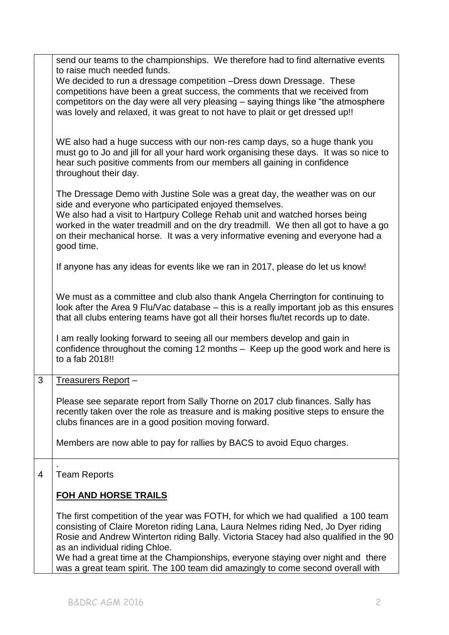|   | send our teams to the championships. We therefore had to find alternative events<br>to raise much needed funds.<br>We decided to run a dressage competition - Dress down Dressage. These<br>competitions have been a great success, the comments that we received from<br>competitors on the day were all very pleasing – saying things like "the atmosphere"<br>was lovely and relaxed, it was great to not have to plait or get dressed up!!                          |  |  |  |
|---|-------------------------------------------------------------------------------------------------------------------------------------------------------------------------------------------------------------------------------------------------------------------------------------------------------------------------------------------------------------------------------------------------------------------------------------------------------------------------|--|--|--|
|   | WE also had a huge success with our non-res camp days, so a huge thank you<br>must go to Jo and jill for all your hard work organising these days. It was so nice to<br>hear such positive comments from our members all gaining in confidence<br>throughout their day.                                                                                                                                                                                                 |  |  |  |
|   | The Dressage Demo with Justine Sole was a great day, the weather was on our<br>side and everyone who participated enjoyed themselves.<br>We also had a visit to Hartpury College Rehab unit and watched horses being<br>worked in the water treadmill and on the dry treadmill. We then all got to have a go<br>on their mechanical horse. It was a very informative evening and everyone had a<br>good time.                                                           |  |  |  |
|   | If anyone has any ideas for events like we ran in 2017, please do let us know!                                                                                                                                                                                                                                                                                                                                                                                          |  |  |  |
|   | We must as a committee and club also thank Angela Cherrington for continuing to<br>look after the Area 9 Flu/Vac database – this is a really important job as this ensures<br>that all clubs entering teams have got all their horses flu/tet records up to date.                                                                                                                                                                                                       |  |  |  |
|   | I am really looking forward to seeing all our members develop and gain in<br>confidence throughout the coming 12 months - Keep up the good work and here is<br>to a fab 2018!!                                                                                                                                                                                                                                                                                          |  |  |  |
| 3 | Treasurers Report-                                                                                                                                                                                                                                                                                                                                                                                                                                                      |  |  |  |
|   | Please see separate report from Sally Thorne on 2017 club finances. Sally has<br>recently taken over the role as treasure and is making positive steps to ensure the<br>clubs finances are in a good position moving forward.                                                                                                                                                                                                                                           |  |  |  |
|   | Members are now able to pay for rallies by BACS to avoid Equo charges.                                                                                                                                                                                                                                                                                                                                                                                                  |  |  |  |
| 4 | <b>Team Reports</b>                                                                                                                                                                                                                                                                                                                                                                                                                                                     |  |  |  |
|   | <b>FOH AND HORSE TRAILS</b>                                                                                                                                                                                                                                                                                                                                                                                                                                             |  |  |  |
|   | The first competition of the year was FOTH, for which we had qualified a 100 team<br>consisting of Claire Moreton riding Lana, Laura Nelmes riding Ned, Jo Dyer riding<br>Rosie and Andrew Winterton riding Bally. Victoria Stacey had also qualified in the 90<br>as an individual riding Chloe.<br>We had a great time at the Championships, everyone staying over night and there<br>was a great team spirit. The 100 team did amazingly to come second overall with |  |  |  |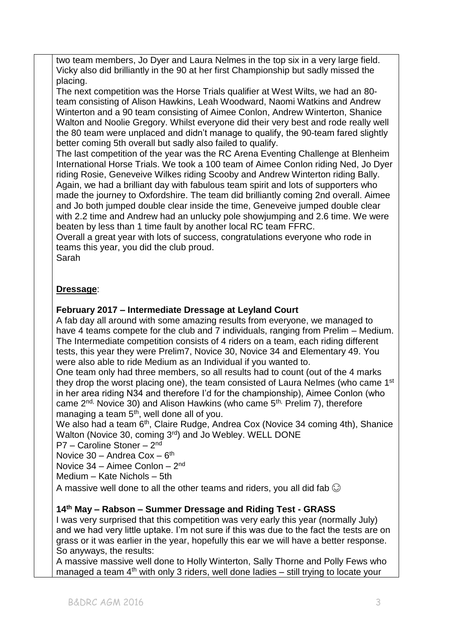two team members, Jo Dyer and Laura Nelmes in the top six in a very large field. Vicky also did brilliantly in the 90 at her first Championship but sadly missed the placing.

The next competition was the Horse Trials qualifier at West Wilts, we had an 80 team consisting of Alison Hawkins, Leah Woodward, Naomi Watkins and Andrew Winterton and a 90 team consisting of Aimee Conlon, Andrew Winterton, Shanice Walton and Noolie Gregory. Whilst everyone did their very best and rode really well the 80 team were unplaced and didn't manage to qualify, the 90-team fared slightly better coming 5th overall but sadly also failed to qualify.

The last competition of the year was the RC Arena Eventing Challenge at Blenheim International Horse Trials. We took a 100 team of Aimee Conlon riding Ned, Jo Dyer riding Rosie, Geneveive Wilkes riding Scooby and Andrew Winterton riding Bally. Again, we had a brilliant day with fabulous team spirit and lots of supporters who made the journey to Oxfordshire. The team did brilliantly coming 2nd overall. Aimee and Jo both jumped double clear inside the time, Geneveive jumped double clear with 2.2 time and Andrew had an unlucky pole showjumping and 2.6 time. We were beaten by less than 1 time fault by another local RC team FFRC.

Overall a great year with lots of success, congratulations everyone who rode in teams this year, you did the club proud.

Sarah

# **Dressage**:

# **February 2017 – Intermediate Dressage at Leyland Court**

A fab day all around with some amazing results from everyone, we managed to have 4 teams compete for the club and 7 individuals, ranging from Prelim – Medium. The Intermediate competition consists of 4 riders on a team, each riding different tests, this year they were Prelim7, Novice 30, Novice 34 and Elementary 49. You were also able to ride Medium as an Individual if you wanted to.

One team only had three members, so all results had to count (out of the 4 marks they drop the worst placing one), the team consisted of Laura Nelmes (who came 1<sup>st</sup> in her area riding N34 and therefore I'd for the championship), Aimee Conlon (who came 2<sup>nd,</sup> Novice 30) and Alison Hawkins (who came 5<sup>th,</sup> Prelim 7), therefore managing a team  $5<sup>th</sup>$ , well done all of you.

We also had a team 6<sup>th</sup>, Claire Rudge, Andrea Cox (Novice 34 coming 4th), Shanice Walton (Novice 30, coming 3rd) and Jo Webley. WELL DONE

P7 - Caroline Stoner - 2<sup>nd</sup>

Novice 30 - Andrea Cox - 6<sup>th</sup>

Novice 34 - Aimee Conlon - 2<sup>nd</sup>

Medium – Kate Nichols – 5th

A massive well done to all the other teams and riders, you all did fab  $\odot$ 

## **14th May – Rabson – Summer Dressage and Riding Test - GRASS**

I was very surprised that this competition was very early this year (normally July) and we had very little uptake. I'm not sure if this was due to the fact the tests are on grass or it was earlier in the year, hopefully this ear we will have a better response. So anyways, the results:

A massive massive well done to Holly Winterton, Sally Thorne and Polly Fews who managed a team  $4<sup>th</sup>$  with only 3 riders, well done ladies – still trying to locate your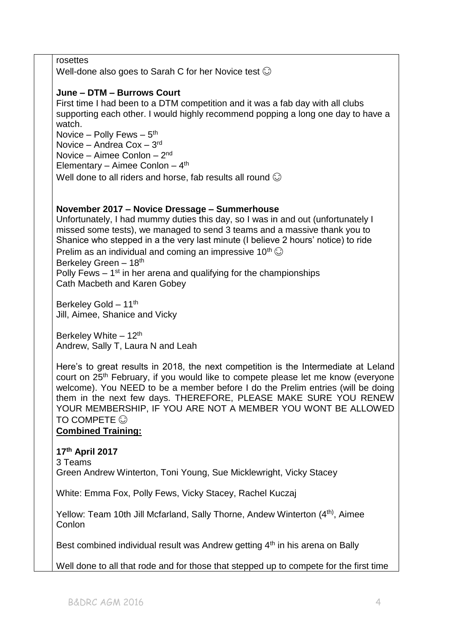rosettes

Well-done also goes to Sarah C for her Novice test  $\odot$ 

## **June – DTM – Burrows Court**

First time I had been to a DTM competition and it was a fab day with all clubs supporting each other. I would highly recommend popping a long one day to have a watch.

Novice – Polly Fews –  $5<sup>th</sup>$ 

Novice – Andrea Cox – 3rd

Novice – Aimee Conlon – 2<sup>nd</sup>

Elementary – Aimee Conlon –  $4<sup>th</sup>$ 

Well done to all riders and horse, fab results all round  $\odot$ 

## **November 2017 – Novice Dressage – Summerhouse**

Unfortunately, I had mummy duties this day, so I was in and out (unfortunately I missed some tests), we managed to send 3 teams and a massive thank you to Shanice who stepped in a the very last minute (I believe 2 hours' notice) to ride Prelim as an individual and coming an impressive 10<sup>th</sup>  $\odot$ Berkeley Green – 18th Polly Fews  $-1<sup>st</sup>$  in her arena and qualifying for the championships

Cath Macbeth and Karen Gobey

Berkeley Gold – 11<sup>th</sup> Jill, Aimee, Shanice and Vicky

Berkeley White  $-12$ <sup>th</sup> Andrew, Sally T, Laura N and Leah

Here's to great results in 2018, the next competition is the Intermediate at Leland court on 25th February, if you would like to compete please let me know (everyone welcome). You NEED to be a member before I do the Prelim entries (will be doing them in the next few days. THEREFORE, PLEASE MAKE SURE YOU RENEW YOUR MEMBERSHIP, IF YOU ARE NOT A MEMBER YOU WONT BE ALLOWED TO COMPETE  $\odot$ 

### **Combined Training:**

### **17th April 2017** 3 Teams

Green Andrew Winterton, Toni Young, Sue Micklewright, Vicky Stacey

White: Emma Fox, Polly Fews, Vicky Stacey, Rachel Kuczaj

Yellow: Team 10th Jill Mcfarland, Sally Thorne, Andew Winterton (4<sup>th)</sup>, Aimee **Conlon** 

Best combined individual result was Andrew getting 4<sup>th</sup> in his arena on Bally

Well done to all that rode and for those that stepped up to compete for the first time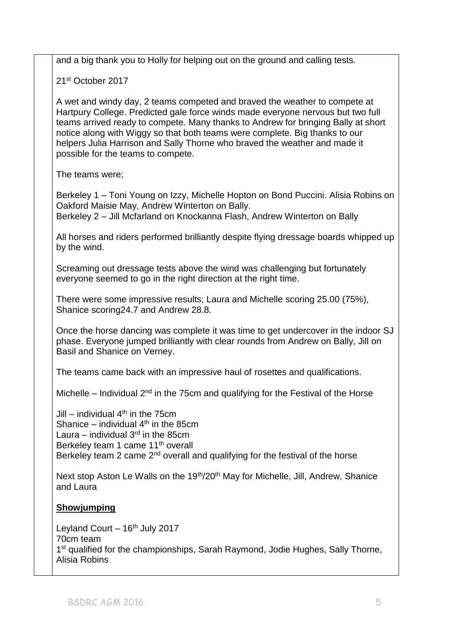and a big thank you to Holly for helping out on the ground and calling tests.

21st October 2017

A wet and windy day, 2 teams competed and braved the weather to compete at Hartpury College. Predicted gale force winds made everyone nervous but two full teams arrived ready to compete. Many thanks to Andrew for bringing Bally at short notice along with Wiggy so that both teams were complete. Big thanks to our helpers Julia Harrison and Sally Thorne who braved the weather and made it possible for the teams to compete.

The teams were;

Berkeley 1 – Toni Young on Izzy, Michelle Hopton on Bond Puccini. Alisia Robins on Oakford Maisie May, Andrew Winterton on Bally.

Berkeley 2 – Jill Mcfarland on Knockanna Flash, Andrew Winterton on Bally

All horses and riders performed brilliantly despite flying dressage boards whipped up by the wind.

Screaming out dressage tests above the wind was challenging but fortunately everyone seemed to go in the right direction at the right time.

There were some impressive results; Laura and Michelle scoring 25.00 (75%), Shanice scoring24.7 and Andrew 28.8.

Once the horse dancing was complete it was time to get undercover in the indoor SJ phase. Everyone jumped brilliantly with clear rounds from Andrew on Bally, Jill on Basil and Shanice on Verney.

The teams came back with an impressive haul of rosettes and qualifications.

Michelle – Individual  $2^{nd}$  in the 75cm and qualifying for the Festival of the Horse

Jill – individual 4<sup>th</sup> in the 75cm Shanice  $-$  individual  $4<sup>th</sup>$  in the 85cm Laura – individual  $3<sup>rd</sup>$  in the 85cm Berkeley team 1 came 11<sup>th</sup> overall Berkeley team 2 came  $2<sup>nd</sup>$  overall and qualifying for the festival of the horse

Next stop Aston Le Walls on the 19<sup>th</sup>/20<sup>th</sup> May for Michelle, Jill, Andrew, Shanice and Laura

## **Showjumping**

Leyland Court  $-16<sup>th</sup>$  July 2017 70cm team 1<sup>st</sup> qualified for the championships, Sarah Raymond, Jodie Hughes, Sally Thorne, Alisia Robins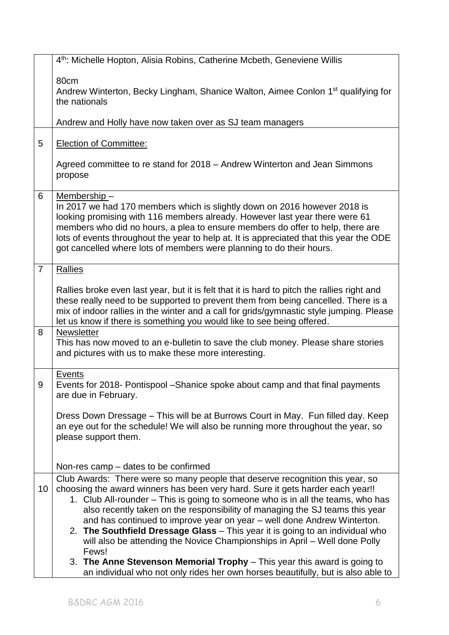|                | 4 <sup>th</sup> : Michelle Hopton, Alisia Robins, Catherine Mcbeth, Geneviene Willis                                                                                                                                                                                                                                                                                                                                                                                                                                                                                                  |  |  |  |
|----------------|---------------------------------------------------------------------------------------------------------------------------------------------------------------------------------------------------------------------------------------------------------------------------------------------------------------------------------------------------------------------------------------------------------------------------------------------------------------------------------------------------------------------------------------------------------------------------------------|--|--|--|
|                | 80cm<br>Andrew Winterton, Becky Lingham, Shanice Walton, Aimee Conlon 1 <sup>st</sup> qualifying for<br>the nationals<br>Andrew and Holly have now taken over as SJ team managers                                                                                                                                                                                                                                                                                                                                                                                                     |  |  |  |
|                |                                                                                                                                                                                                                                                                                                                                                                                                                                                                                                                                                                                       |  |  |  |
| 5              | <b>Election of Committee:</b>                                                                                                                                                                                                                                                                                                                                                                                                                                                                                                                                                         |  |  |  |
|                | Agreed committee to re stand for 2018 – Andrew Winterton and Jean Simmons<br>propose                                                                                                                                                                                                                                                                                                                                                                                                                                                                                                  |  |  |  |
| 6              | Membership-<br>In 2017 we had 170 members which is slightly down on 2016 however 2018 is<br>looking promising with 116 members already. However last year there were 61<br>members who did no hours, a plea to ensure members do offer to help, there are<br>lots of events throughout the year to help at. It is appreciated that this year the ODE<br>got cancelled where lots of members were planning to do their hours.                                                                                                                                                          |  |  |  |
| $\overline{7}$ | Rallies                                                                                                                                                                                                                                                                                                                                                                                                                                                                                                                                                                               |  |  |  |
|                | Rallies broke even last year, but it is felt that it is hard to pitch the rallies right and<br>these really need to be supported to prevent them from being cancelled. There is a<br>mix of indoor rallies in the winter and a call for grids/gymnastic style jumping. Please<br>let us know if there is something you would like to see being offered.                                                                                                                                                                                                                               |  |  |  |
| 8              | Newsletter<br>This has now moved to an e-bulletin to save the club money. Please share stories<br>and pictures with us to make these more interesting.                                                                                                                                                                                                                                                                                                                                                                                                                                |  |  |  |
| 9              | <b>Events</b><br>Events for 2018- Pontispool - Shanice spoke about camp and that final payments<br>are due in February.                                                                                                                                                                                                                                                                                                                                                                                                                                                               |  |  |  |
|                | Dress Down Dressage – This will be at Burrows Court in May. Fun filled day. Keep<br>an eye out for the schedule! We will also be running more throughout the year, so<br>please support them.                                                                                                                                                                                                                                                                                                                                                                                         |  |  |  |
|                | Non-res camp – dates to be confirmed                                                                                                                                                                                                                                                                                                                                                                                                                                                                                                                                                  |  |  |  |
| 10             | Club Awards: There were so many people that deserve recognition this year, so<br>choosing the award winners has been very hard. Sure it gets harder each year!!<br>1. Club All-rounder - This is going to someone who is in all the teams, who has<br>also recently taken on the responsibility of managing the SJ teams this year<br>and has continued to improve year on year – well done Andrew Winterton.<br>2. The Southfield Dressage Glass - This year it is going to an individual who<br>will also be attending the Novice Championships in April – Well done Polly<br>Fews! |  |  |  |
|                | 3. The Anne Stevenson Memorial Trophy - This year this award is going to<br>an individual who not only rides her own horses beautifully, but is also able to                                                                                                                                                                                                                                                                                                                                                                                                                          |  |  |  |